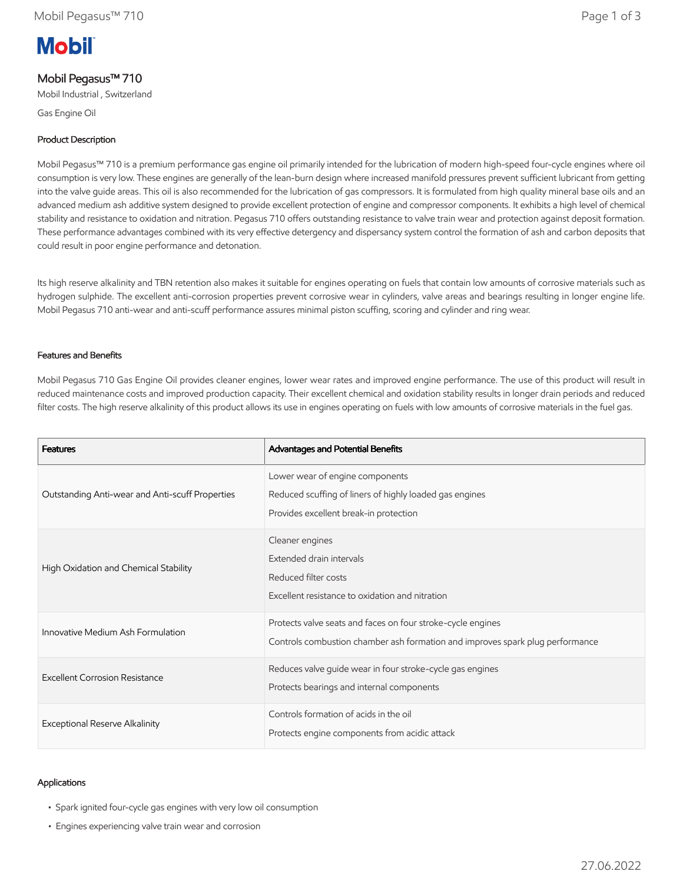# **Mobil**

## Mobil Pegasus™ 710

Mobil Industrial , Switzerland

Gas Engine Oil

## Product Description

Mobil Pegasus™ 710 is a premium performance gas engine oil primarily intended for the lubrication of modern high-speed four-cycle engines where oil consumption is very low. These engines are generally of the lean-burn design where increased manifold pressures prevent sufficient lubricant from getting into the valve guide areas. This oil is also recommended for the lubrication of gas compressors. It is formulated from high quality mineral base oils and an advanced medium ash additive system designed to provide excellent protection of engine and compressor components. It exhibits a high level of chemical stability and resistance to oxidation and nitration. Pegasus 710 offers outstanding resistance to valve train wear and protection against deposit formation. These performance advantages combined with its very effective detergency and dispersancy system control the formation of ash and carbon deposits that could result in poor engine performance and detonation.

Its high reserve alkalinity and TBN retention also makes it suitable for engines operating on fuels that contain low amounts of corrosive materials such as hydrogen sulphide. The excellent anti-corrosion properties prevent corrosive wear in cylinders, valve areas and bearings resulting in longer engine life. Mobil Pegasus 710 anti-wear and anti-scuff performance assures minimal piston scuffing, scoring and cylinder and ring wear.

### Features and Benefits

Mobil Pegasus 710 Gas Engine Oil provides cleaner engines, lower wear rates and improved engine performance. The use of this product will result in reduced maintenance costs and improved production capacity. Their excellent chemical and oxidation stability results in longer drain periods and reduced filter costs. The high reserve alkalinity of this product allows its use in engines operating on fuels with low amounts of corrosive materials in the fuel gas.

| <b>Features</b>                                 | Advantages and Potential Benefits                                                                                                            |
|-------------------------------------------------|----------------------------------------------------------------------------------------------------------------------------------------------|
| Outstanding Anti-wear and Anti-scuff Properties | Lower wear of engine components<br>Reduced scuffing of liners of highly loaded gas engines<br>Provides excellent break-in protection         |
| High Oxidation and Chemical Stability           | Cleaner engines<br>Extended drain intervals<br>Reduced filter costs<br>Excellent resistance to oxidation and nitration                       |
| Innovative Medium Ash Formulation               | Protects valve seats and faces on four stroke-cycle engines<br>Controls combustion chamber ash formation and improves spark plug performance |
| Excellent Corrosion Resistance                  | Reduces valve guide wear in four stroke-cycle gas engines<br>Protects bearings and internal components                                       |
| Exceptional Reserve Alkalinity                  | Controls formation of acids in the oil<br>Protects engine components from acidic attack                                                      |

## Applications

- Spark ignited four-cycle gas engines with very low oil consumption
- Engines experiencing valve train wear and corrosion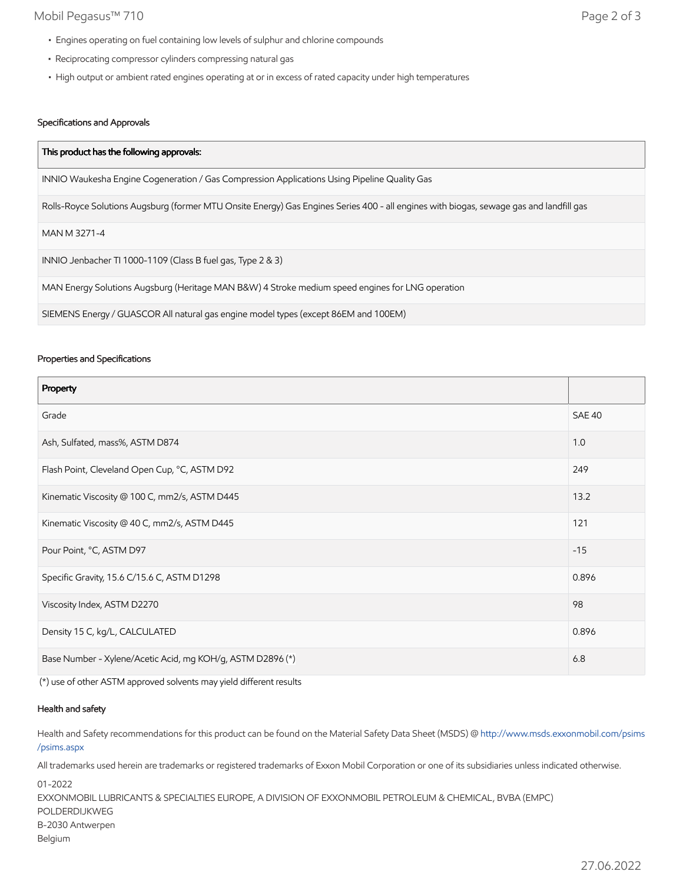## Mobil Pegasus™ 710 Page 2 of 3

- Engines operating on fuel containing low levels of sulphur and chlorine compounds
- Reciprocating compressor cylinders compressing natural gas
- High output or ambient rated engines operating at or in excess of rated capacity under high temperatures

### Specifications and Approvals

| This product has the following approvals:                                                                                               |
|-----------------------------------------------------------------------------------------------------------------------------------------|
| INNIO Waukesha Engine Cogeneration / Gas Compression Applications Using Pipeline Quality Gas                                            |
| Rolls-Royce Solutions Augsburg (former MTU Onsite Energy) Gas Engines Series 400 - all engines with biogas, sewage gas and landfill gas |
| MAN M 3271-4                                                                                                                            |
| INNIO Jenbacher TI 1000-1109 (Class B fuel gas, Type 2 & 3)                                                                             |
| MAN Energy Solutions Augsburg (Heritage MAN B&W) 4 Stroke medium speed engines for LNG operation                                        |
| SIEMENS Energy / GUASCOR All natural gas engine model types (except 86EM and 100EM)                                                     |

#### Properties and Specifications

| Property                                                   |               |
|------------------------------------------------------------|---------------|
| Grade                                                      | <b>SAE 40</b> |
| Ash, Sulfated, mass%, ASTM D874                            | 1.0           |
| Flash Point, Cleveland Open Cup, °C, ASTM D92              | 249           |
| Kinematic Viscosity @ 100 C, mm2/s, ASTM D445              | 13.2          |
| Kinematic Viscosity @ 40 C, mm2/s, ASTM D445               | 121           |
| Pour Point, °C, ASTM D97                                   | $-15$         |
| Specific Gravity, 15.6 C/15.6 C, ASTM D1298                | 0.896         |
| Viscosity Index, ASTM D2270                                | 98            |
| Density 15 C, kg/L, CALCULATED                             | 0.896         |
| Base Number - Xylene/Acetic Acid, mg KOH/g, ASTM D2896 (*) | 6.8           |

(\*) use of other ASTM approved solvents may yield different results

#### Health and safety

Health and Safety recommendations for this product can be found on the Material Safety Data Sheet (MSDS) @ [http://www.msds.exxonmobil.com/psims](http://www.msds.exxonmobil.com/psims/psims.aspx) /psims.aspx

All trademarks used herein are trademarks or registered trademarks of Exxon Mobil Corporation or one of its subsidiaries unless indicated otherwise.

01-2022 EXXONMOBIL LUBRICANTS & SPECIALTIES EUROPE, A DIVISION OF EXXONMOBIL PETROLEUM & CHEMICAL, BVBA (EMPC) POLDERDIJKWEG B-2030 Antwerpen Belgium